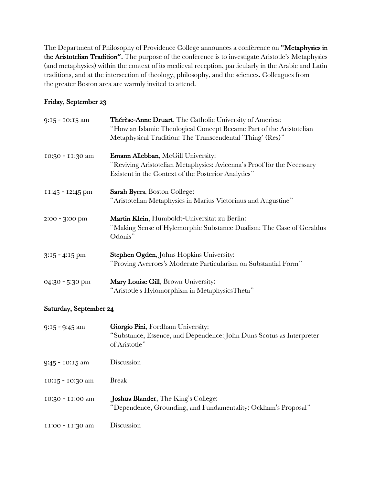The Department of Philosophy of Providence College announces a conference on "Metaphysics in the Aristotelian Tradition". The purpose of the conference is to investigate Aristotle's Metaphysics (and metaphysics) within the context of its medieval reception, particularly in the Arabic and Latin traditions, and at the intersection of theology, philosophy, and the sciences. Colleagues from the greater Boston area are warmly invited to attend.

## Friday, September 23

| 9:15 - 10:15 am  | Thérèse-Anne Druart, The Catholic University of America:<br>"How an Islamic Theological Concept Became Part of the Aristotelian<br>Metaphysical Tradition: The Transcendental 'Thing' (Res)" |
|------------------|----------------------------------------------------------------------------------------------------------------------------------------------------------------------------------------------|
| 10:30 - 11:30 am | Emann Allebban, McGill University:<br>"Reviving Aristotelian Metaphysics: Avicenna's Proof for the Necessary<br>Existent in the Context of the Posterior Analytics"                          |
| II:45 - I2:45 pm | <b>Sarah Byers, Boston College:</b><br>"Aristotelian Metaphysics in Marius Victorinus and Augustine"                                                                                         |
| $2:00 - 3:00$ pm | Martin Klein, Humboldt-Universität zu Berlin:<br>"Making Sense of Hylemorphic Substance Dualism: The Case of Geraldus<br>Odonis"                                                             |
| $3:15 - 4:15$ pm | Stephen Ogden, Johns Hopkins University:<br>"Proving Averroes's Moderate Particularism on Substantial Form"                                                                                  |
| 04:30 - 5:30 pm  | Mary Louise Gill, Brown University:<br>"Aristotle's Hylomorphism in MetaphysicsTheta"                                                                                                        |

## Saturday, September 24

| $9:15 - 9:45$ am   | Giorgio Pini, Fordham University:<br>"Substance, Essence, and Dependence: John Duns Scotus as Interpreter<br>of Aristotle" |
|--------------------|----------------------------------------------------------------------------------------------------------------------------|
| 9:45 - 10:15 am    | Discussion                                                                                                                 |
| $10:15 - 10:30$ am | <b>Break</b>                                                                                                               |
| 10:30 - 11:00 am   | Joshua Blander, The King's College:<br>"Dependence, Grounding, and Fundamentality: Ockham's Proposal"                      |
| II:00 - II:30 am   | Discussion                                                                                                                 |